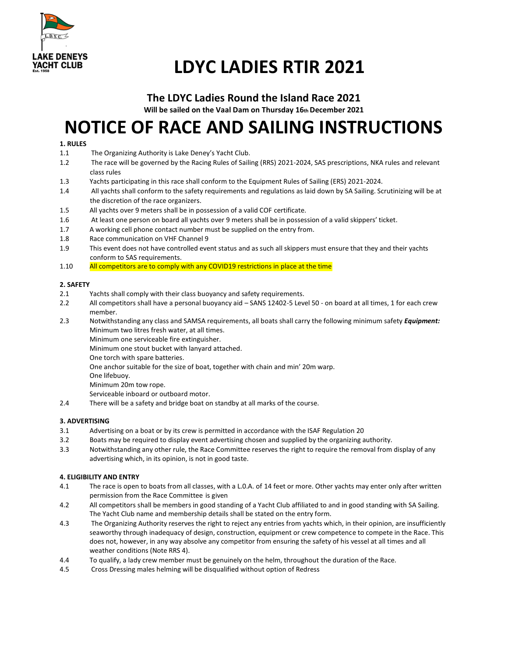

# **LDYC LADIES RTIR 2021**

# **The LDYC Ladies Round the Island Race 2021**

**Will be sailed on the Vaal Dam on Thursday 16th December 2021** 

# **NOTICE OF RACE AND SAILING INSTRUCTIONS**

### **1. RULES**

- 1.1 The Organizing Authority is Lake Deney's Yacht Club.
- 1.2 The race will be governed by the Racing Rules of Sailing (RRS) 2021-2024, SAS prescriptions, NKA rules and relevant class rules
- 1.3 Yachts participating in this race shall conform to the Equipment Rules of Sailing (ERS) 2021-2024.
- 1.4 All yachts shall conform to the safety requirements and regulations as laid down by SA Sailing. Scrutinizing will be at the discretion of the race organizers.
- 1.5 All yachts over 9 meters shall be in possession of a valid COF certificate.
- 1.6 At least one person on board all yachts over 9 meters shall be in possession of a valid skippers' ticket.
- 1.7 A working cell phone contact number must be supplied on the entry from.
- 1.8 Race communication on VHF Channel 9
- 1.9 This event does not have controlled event status and as such all skippers must ensure that they and their yachts conform to SAS requirements.
- 1.10 All competitors are to comply with any COVID19 restrictions in place at the time

### **2. SAFETY**

- 2.1 Yachts shall comply with their class buoyancy and safety requirements.
- 2.2 All competitors shall have a personal buoyancy aid SANS 12402-5 Level 50 on board at all times, 1 for each crew member.
- 2.3 Notwithstanding any class and SAMSA requirements, all boats shall carry the following minimum safety *Equipment:*  Minimum two litres fresh water, at all times.

Minimum one serviceable fire extinguisher.

Minimum one stout bucket with lanyard attached.

One torch with spare batteries.

One anchor suitable for the size of boat, together with chain and min' 20m warp.

One lifebuoy.

Minimum 20m tow rope.

Serviceable inboard or outboard motor.

2.4 There will be a safety and bridge boat on standby at all marks of the course.

## **3. ADVERTISING**

- 3.1 Advertising on a boat or by its crew is permitted in accordance with the ISAF Regulation 20
- 3.2 Boats may be required to display event advertising chosen and supplied by the organizing authority.
- 3.3 Notwithstanding any other rule, the Race Committee reserves the right to require the removal from display of any advertising which, in its opinion, is not in good taste.

## **4. ELIGIBILITY AND ENTRY**

- 4.1 The race is open to boats from all classes, with a L.0.A. of 14 feet or more. Other yachts may enter only after written permission from the Race Committee is given
- 4.2 All competitors shall be members in good standing of a Yacht Club affiliated to and in good standing with SA Sailing. The Yacht Club name and membership details shall be stated on the entry form.
- 4.3 The Organizing Authority reserves the right to reject any entries from yachts which, in their opinion, are insufficiently seaworthy through inadequacy of design, construction, equipment or crew competence to compete in the Race. This does not, however, in any way absolve any competitor from ensuring the safety of his vessel at all times and all weather conditions (Note RRS 4).
- 4.4 To qualify, a lady crew member must be genuinely on the helm, throughout the duration of the Race.
- 4.5 Cross Dressing males helming will be disqualified without option of Redress